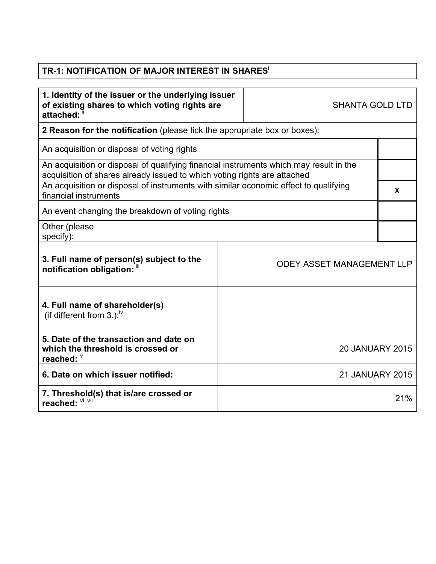## **TR-1: NOTIFICATION OF MAJOR INTEREST IN SHARES<sup>i</sup>**

| 1. Identity of the issuer or the underlying issuer<br>of existing shares to which voting rights are<br>attached:                                                   | <b>SHANTA GOLD LTD</b> |                                  |     |  |
|--------------------------------------------------------------------------------------------------------------------------------------------------------------------|------------------------|----------------------------------|-----|--|
| 2 Reason for the notification (please tick the appropriate box or boxes):                                                                                          |                        |                                  |     |  |
| An acquisition or disposal of voting rights                                                                                                                        |                        |                                  |     |  |
| An acquisition or disposal of qualifying financial instruments which may result in the<br>acquisition of shares already issued to which voting rights are attached |                        |                                  |     |  |
| An acquisition or disposal of instruments with similar economic effect to qualifying<br>financial instruments                                                      |                        |                                  |     |  |
| An event changing the breakdown of voting rights                                                                                                                   |                        |                                  |     |  |
| Other (please<br>specify):                                                                                                                                         |                        |                                  |     |  |
| 3. Full name of person(s) subject to the<br>notification obligation: "                                                                                             |                        | <b>ODEY ASSET MANAGEMENT LLP</b> |     |  |
| 4. Full name of shareholder(s)<br>(if different from 3.): $\sqrt{v}$                                                                                               |                        |                                  |     |  |
| 5. Date of the transaction and date on<br>which the threshold is crossed or<br>reached: V                                                                          |                        | <b>20 JANUARY 2015</b>           |     |  |
| 6. Date on which issuer notified:                                                                                                                                  |                        | <b>21 JANUARY 2015</b>           |     |  |
| 7. Threshold(s) that is/are crossed or<br>reached: VI, VII                                                                                                         |                        |                                  | 21% |  |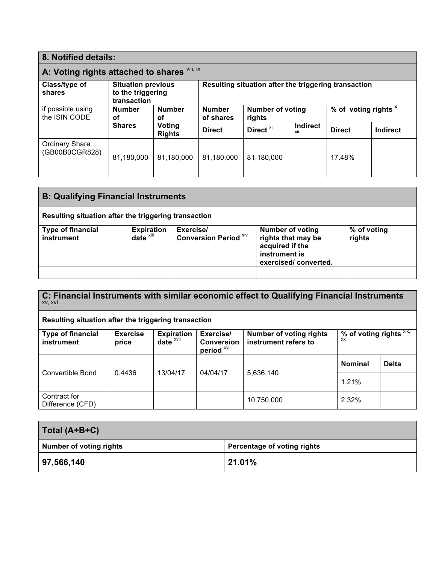| 8. Notified details:                         |                                                               |                            |                                                      |                      |                                 |               |                 |
|----------------------------------------------|---------------------------------------------------------------|----------------------------|------------------------------------------------------|----------------------|---------------------------------|---------------|-----------------|
| A: Voting rights attached to shares Vili, ix |                                                               |                            |                                                      |                      |                                 |               |                 |
| Class/type of<br>shares                      | <b>Situation previous</b><br>to the triggering<br>transaction |                            | Resulting situation after the triggering transaction |                      |                                 |               |                 |
| if possible using<br>the ISIN CODE           | <b>Number</b><br><b>Number</b><br>οf<br>οf                    | <b>Number</b><br>of shares | <b>Number of voting</b><br>rights                    |                      | % of voting rights <sup>x</sup> |               |                 |
|                                              | <b>Shares</b>                                                 | Voting<br><b>Rights</b>    | <b>Direct</b>                                        | Direct <sup>xi</sup> | <b>Indirect</b><br>xii          | <b>Direct</b> | <b>Indirect</b> |
| <b>Ordinary Share</b><br>(GB00B0CGR828)      | 81,180,000                                                    | 81,180,000                 | 81,180,000                                           | 81,180,000           |                                 | 17.48%        |                 |

| <b>B: Qualifying Financial Instruments</b>           |                                               |                                           |                                                                                                           |                       |  |
|------------------------------------------------------|-----------------------------------------------|-------------------------------------------|-----------------------------------------------------------------------------------------------------------|-----------------------|--|
| Resulting situation after the triggering transaction |                                               |                                           |                                                                                                           |                       |  |
| <b>Type of financial</b><br>instrument               | <b>Expiration</b><br>$date^{\overline{x}iii}$ | Exercise/<br><b>Conversion Period Xiv</b> | <b>Number of voting</b><br>rights that may be<br>acquired if the<br>instrument is<br>exercised/converted. | % of voting<br>rights |  |
|                                                      |                                               |                                           |                                                                                                           |                       |  |

**C: Financial Instruments with similar economic effect to Qualifying Financial Instruments**  xv, xvi

## **Resulting situation after the triggering transaction**

| <b>Type of financial</b><br>instrument | <b>Exercise</b><br>price | <b>Expiration</b><br>date <sup>xvii</sup> | Exercise/<br><b>Conversion</b><br>period <sup>xviii</sup> | <b>Number of voting rights</b><br>instrument refers to | % of voting rights $XIX$ ,<br><b>XX</b> |              |
|----------------------------------------|--------------------------|-------------------------------------------|-----------------------------------------------------------|--------------------------------------------------------|-----------------------------------------|--------------|
| Convertible Bond                       | 0.4436                   | 13/04/17                                  | 04/04/17                                                  | 5,636,140                                              | <b>Nominal</b>                          | <b>Delta</b> |
|                                        |                          |                                           | 1.21%                                                     |                                                        |                                         |              |
| Contract for<br>Difference (CFD)       |                          |                                           |                                                           | 10,750,000                                             | 2.32%                                   |              |

| Total (A+B+C)                  |                             |
|--------------------------------|-----------------------------|
| <b>Number of voting rights</b> | Percentage of voting rights |
| 97,566,140                     | 21.01%                      |